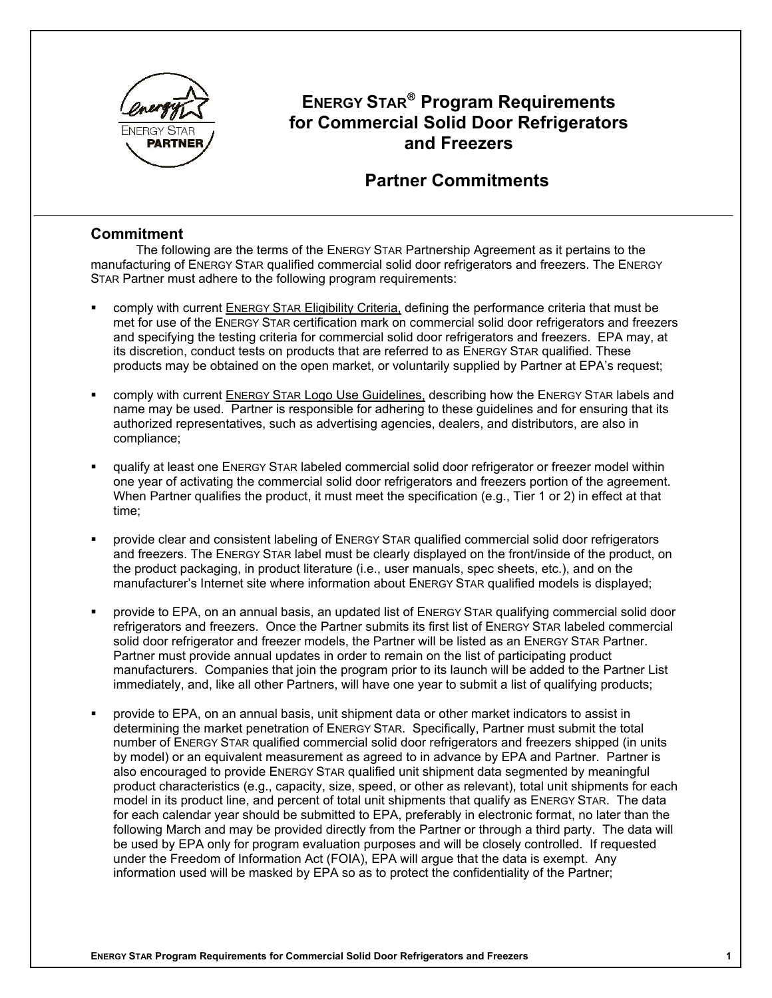

# **ENERGY STAR<sup>®</sup> Program Requirements for Commercial Solid Door Refrigerators and Freezers**

### **Partner Commitments**

### **Commitment**

The following are the terms of the ENERGY STAR Partnership Agreement as it pertains to the manufacturing of ENERGY STAR qualified commercial solid door refrigerators and freezers. The ENERGY STAR Partner must adhere to the following program requirements:

- comply with current ENERGY STAR Eligibility Criteria, defining the performance criteria that must be met for use of the ENERGY STAR certification mark on commercial solid door refrigerators and freezers and specifying the testing criteria for commercial solid door refrigerators and freezers. EPA may, at its discretion, conduct tests on products that are referred to as ENERGY STAR qualified. These products may be obtained on the open market, or voluntarily supplied by Partner at EPA's request;
- comply with current ENERGY STAR Logo Use Guidelines, describing how the ENERGY STAR labels and name may be used. Partner is responsible for adhering to these guidelines and for ensuring that its authorized representatives, such as advertising agencies, dealers, and distributors, are also in compliance;
- qualify at least one ENERGY STAR labeled commercial solid door refrigerator or freezer model within one year of activating the commercial solid door refrigerators and freezers portion of the agreement. When Partner qualifies the product, it must meet the specification (e.g., Tier 1 or 2) in effect at that time;
- provide clear and consistent labeling of ENERGY STAR qualified commercial solid door refrigerators and freezers. The ENERGY STAR label must be clearly displayed on the front/inside of the product, on the product packaging, in product literature (i.e., user manuals, spec sheets, etc.), and on the manufacturer's Internet site where information about ENERGY STAR qualified models is displayed;
- provide to EPA, on an annual basis, an updated list of ENERGY STAR qualifying commercial solid door refrigerators and freezers. Once the Partner submits its first list of ENERGY STAR labeled commercial solid door refrigerator and freezer models, the Partner will be listed as an ENERGY STAR Partner. Partner must provide annual updates in order to remain on the list of participating product manufacturers. Companies that join the program prior to its launch will be added to the Partner List immediately, and, like all other Partners, will have one year to submit a list of qualifying products;
- provide to EPA, on an annual basis, unit shipment data or other market indicators to assist in determining the market penetration of ENERGY STAR. Specifically, Partner must submit the total number of ENERGY STAR qualified commercial solid door refrigerators and freezers shipped (in units by model) or an equivalent measurement as agreed to in advance by EPA and Partner. Partner is also encouraged to provide ENERGY STAR qualified unit shipment data segmented by meaningful product characteristics (e.g., capacity, size, speed, or other as relevant), total unit shipments for each model in its product line, and percent of total unit shipments that qualify as ENERGY STAR. The data for each calendar year should be submitted to EPA, preferably in electronic format, no later than the following March and may be provided directly from the Partner or through a third party. The data will be used by EPA only for program evaluation purposes and will be closely controlled. If requested under the Freedom of Information Act (FOIA), EPA will argue that the data is exempt. Any information used will be masked by EPA so as to protect the confidentiality of the Partner;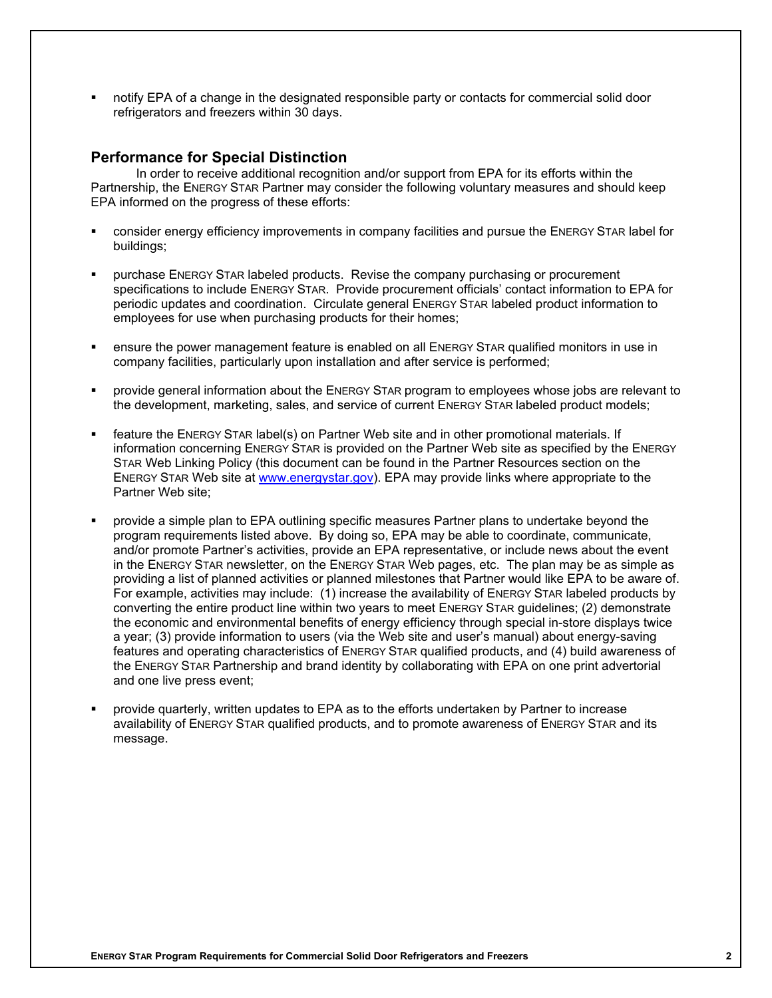notify EPA of a change in the designated responsible party or contacts for commercial solid door refrigerators and freezers within 30 days.

#### **Performance for Special Distinction**

In order to receive additional recognition and/or support from EPA for its efforts within the Partnership, the ENERGY STAR Partner may consider the following voluntary measures and should keep EPA informed on the progress of these efforts:

- consider energy efficiency improvements in company facilities and pursue the ENERGY STAR label for buildings;
- purchase ENERGY STAR labeled products. Revise the company purchasing or procurement specifications to include ENERGY STAR. Provide procurement officials' contact information to EPA for periodic updates and coordination. Circulate general ENERGY STAR labeled product information to employees for use when purchasing products for their homes;
- ensure the power management feature is enabled on all ENERGY STAR qualified monitors in use in company facilities, particularly upon installation and after service is performed;
- provide general information about the ENERGY STAR program to employees whose jobs are relevant to the development, marketing, sales, and service of current ENERGY STAR labeled product models;
- feature the ENERGY STAR label(s) on Partner Web site and in other promotional materials. If information concerning ENERGY STAR is provided on the Partner Web site as specified by the ENERGY STAR Web Linking Policy (this document can be found in the Partner Resources section on the ENERGY STAR Web site at www.energystar.gov). EPA may provide links where appropriate to the Partner Web site;
- provide a simple plan to EPA outlining specific measures Partner plans to undertake beyond the program requirements listed above. By doing so, EPA may be able to coordinate, communicate, and/or promote Partner's activities, provide an EPA representative, or include news about the event in the ENERGY STAR newsletter, on the ENERGY STAR Web pages, etc. The plan may be as simple as providing a list of planned activities or planned milestones that Partner would like EPA to be aware of. For example, activities may include: (1) increase the availability of ENERGY STAR labeled products by converting the entire product line within two years to meet ENERGY STAR guidelines; (2) demonstrate the economic and environmental benefits of energy efficiency through special in-store displays twice a year; (3) provide information to users (via the Web site and user's manual) about energy-saving features and operating characteristics of ENERGY STAR qualified products, and (4) build awareness of the ENERGY STAR Partnership and brand identity by collaborating with EPA on one print advertorial and one live press event;
- provide quarterly, written updates to EPA as to the efforts undertaken by Partner to increase availability of ENERGY STAR qualified products, and to promote awareness of ENERGY STAR and its message.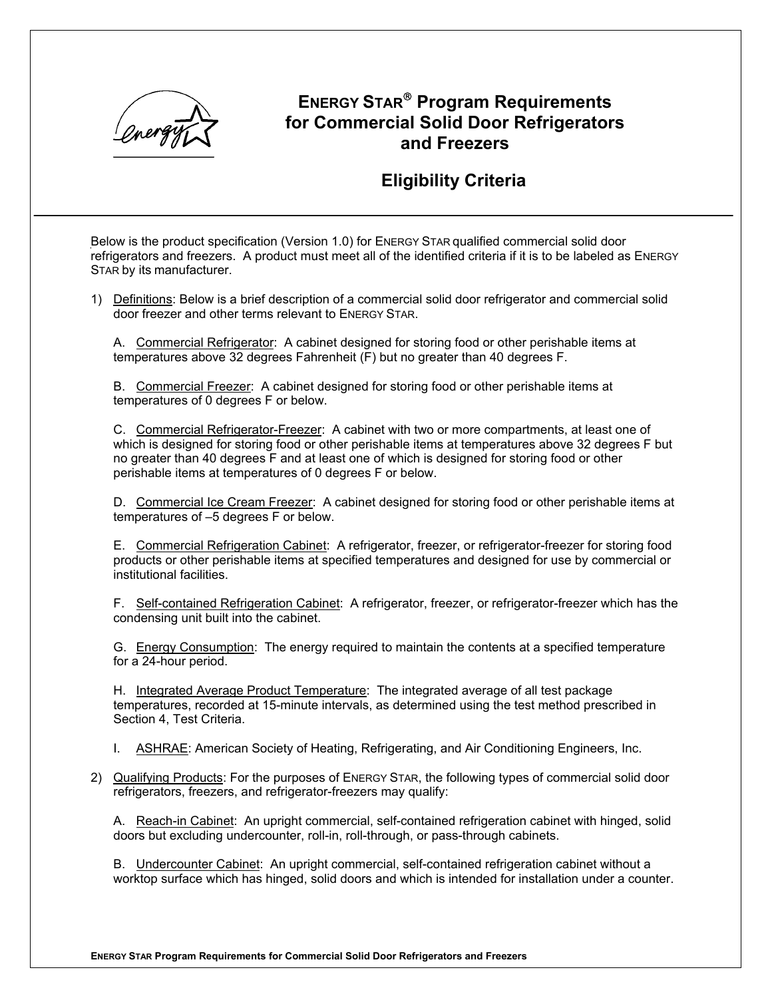

# **ENERGY STAR Program Requirements for Commercial Solid Door Refrigerators and Freezers**

## **Eligibility Criteria**

Below is the product specification (Version 1.0) for ENERGY STAR qualified commercial solid door refrigerators and freezers. A product must meet all of the identified criteria if it is to be labeled as ENERGY STAR by its manufacturer.

1) Definitions: Below is a brief description of a commercial solid door refrigerator and commercial solid door freezer and other terms relevant to ENERGY STAR.

A. Commercial Refrigerator: A cabinet designed for storing food or other perishable items at temperatures above 32 degrees Fahrenheit (F) but no greater than 40 degrees F.

B. Commercial Freezer: A cabinet designed for storing food or other perishable items at temperatures of 0 degrees F or below.

C. Commercial Refrigerator-Freezer: A cabinet with two or more compartments, at least one of which is designed for storing food or other perishable items at temperatures above 32 degrees F but no greater than 40 degrees F and at least one of which is designed for storing food or other perishable items at temperatures of 0 degrees F or below.

D. Commercial Ice Cream Freezer: A cabinet designed for storing food or other perishable items at temperatures of –5 degrees F or below.

E. Commercial Refrigeration Cabinet: A refrigerator, freezer, or refrigerator-freezer for storing food products or other perishable items at specified temperatures and designed for use by commercial or institutional facilities.

F. Self-contained Refrigeration Cabinet: A refrigerator, freezer, or refrigerator-freezer which has the condensing unit built into the cabinet.

G. Energy Consumption: The energy required to maintain the contents at a specified temperature for a 24-hour period.

H. Integrated Average Product Temperature: The integrated average of all test package temperatures, recorded at 15-minute intervals, as determined using the test method prescribed in Section 4, Test Criteria.

I. **ASHRAE:** American Society of Heating, Refrigerating, and Air Conditioning Engineers, Inc.

2) Qualifying Products: For the purposes of ENERGY STAR, the following types of commercial solid door refrigerators, freezers, and refrigerator-freezers may qualify:

A. Reach-in Cabinet: An upright commercial, self-contained refrigeration cabinet with hinged, solid doors but excluding undercounter, roll-in, roll-through, or pass-through cabinets.

B. Undercounter Cabinet: An upright commercial, self-contained refrigeration cabinet without a worktop surface which has hinged, solid doors and which is intended for installation under a counter.